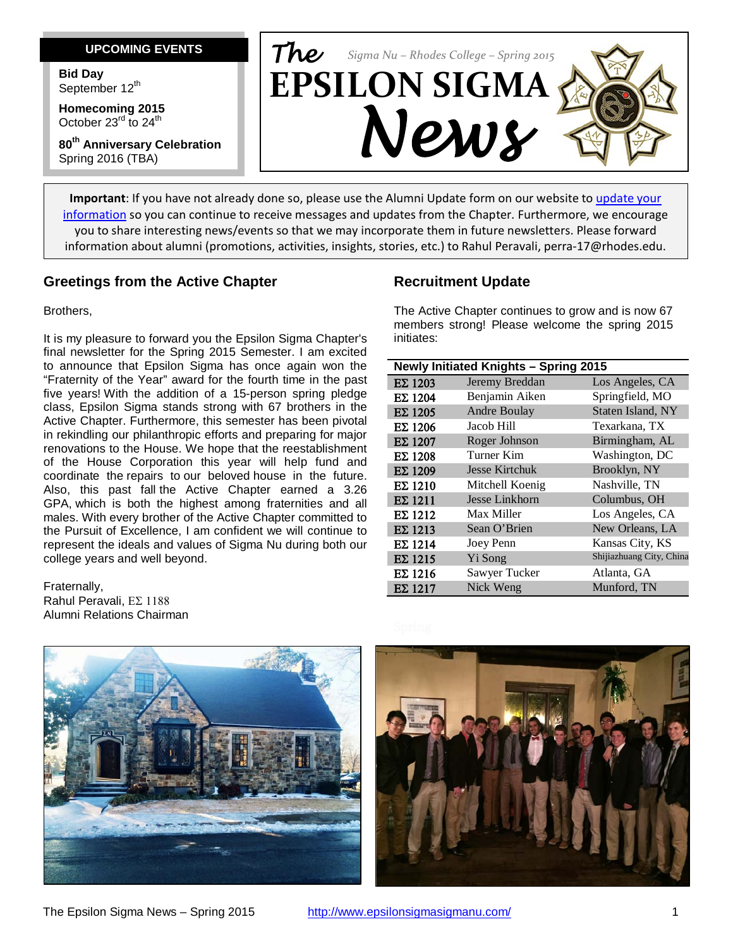#### **UPCOMING EVENTS**

**Bid Day** September 12<sup>th</sup>

**Homecoming 2015** October  $23^{\text{rd}}$  to  $24^{\text{th}}$ 

**80th Anniversary Celebration** Spring 2016 (TBA)



**Important**: If you have not already done so, please use the Alumni Update form on our website to [update your](http://epsilonsigmasigmanu.com/alumni/update-alumni-information)  [information](http://epsilonsigmasigmanu.com/alumni/update-alumni-information) so you can continue to receive messages and updates from the Chapter. Furthermore, we encourage you to share interesting news/events so that we may incorporate them in future newsletters. Please forward information about alumni (promotions, activities, insights, stories, etc.) to Rahul Peravali, perra-17@rhodes.edu.

#### **Greetings from the Active Chapter**

Brothers,

It is my pleasure to forward you the Epsilon Sigma Chapter's final newsletter for the Spring 2015 Semester. I am excited to announce that Epsilon Sigma has once again won the "Fraternity of the Year" award for the fourth time in the past five years! With the addition of a 15-person spring pledge class, Epsilon Sigma stands strong with 67 brothers in the Active Chapter. Furthermore, this semester has been pivotal in rekindling our philanthropic efforts and preparing for major renovations to the House. We hope that the reestablishment of the House Corporation this year will help fund and coordinate the repairs to our beloved house in the future. Also, this past fall the Active Chapter earned a 3.26 GPA, which is both the highest among fraternities and all males. With every brother of the Active Chapter committed to the Pursuit of Excellence, I am confident we will continue to represent the ideals and values of Sigma Nu during both our college years and well beyond.

Fraternally, Rahul Peravali, ΕΣ 1188 Alumni Relations Chairman

## **Recruitment Update**

The Active Chapter continues to grow and is now 67 members strong! Please welcome the spring 2015 initiates:

| Jeremy Breddan<br>Los Angeles, CA<br>$E\Sigma$ 1203<br>five years! With the addition of a 15-person spring pledge<br>Benjamin Aiken<br>Springfield, MO<br>$E\Sigma$ 1204<br>Andre Boulay<br>Staten Island, NY<br>$E\Sigma$ 1205<br>Jacob Hill<br>Texarkana, TX<br>$E\Sigma$ 1206<br>Birmingham, AL<br>Roger Johnson<br>$E\Sigma$ 1207<br>Washington, DC<br>Turner Kim<br>$E\Sigma$ 1208<br>Jesse Kirtchuk<br>Brooklyn, NY<br>$E\Sigma$ 1209<br>Nashville, TN<br>Mitchell Koenig<br>$E\Sigma$ 1210<br>Jesse Linkhorn<br>Columbus, OH<br>$E\Sigma$ 1211<br>Max Miller<br>Los Angeles, CA<br>$E\Sigma$ 1212 | to announce that Epsilon Sigma has once again won the          | <b>Newly Initiated Knights - Spring 2015</b> |  |                          |
|----------------------------------------------------------------------------------------------------------------------------------------------------------------------------------------------------------------------------------------------------------------------------------------------------------------------------------------------------------------------------------------------------------------------------------------------------------------------------------------------------------------------------------------------------------------------------------------------------------|----------------------------------------------------------------|----------------------------------------------|--|--------------------------|
| class, Epsilon Sigma stands strong with 67 brothers in the<br>Active Chapter. Furthermore, this semester has been pivotal<br>in rekindling our philanthropic efforts and preparing for major<br>renovations to the House. We hope that the reestablishment<br>of the House Corporation this year will help fund and<br>coordinate the repairs to our beloved house in the future.<br>Also, this past fall-the Active Chapter earned a 3.26<br>GPA, which is both the highest among fraternities and all                                                                                                  | "Fraternity of the Year" award for the fourth time in the past |                                              |  |                          |
|                                                                                                                                                                                                                                                                                                                                                                                                                                                                                                                                                                                                          |                                                                |                                              |  |                          |
|                                                                                                                                                                                                                                                                                                                                                                                                                                                                                                                                                                                                          |                                                                |                                              |  |                          |
|                                                                                                                                                                                                                                                                                                                                                                                                                                                                                                                                                                                                          |                                                                |                                              |  |                          |
|                                                                                                                                                                                                                                                                                                                                                                                                                                                                                                                                                                                                          |                                                                |                                              |  |                          |
|                                                                                                                                                                                                                                                                                                                                                                                                                                                                                                                                                                                                          |                                                                |                                              |  |                          |
|                                                                                                                                                                                                                                                                                                                                                                                                                                                                                                                                                                                                          |                                                                |                                              |  |                          |
|                                                                                                                                                                                                                                                                                                                                                                                                                                                                                                                                                                                                          |                                                                |                                              |  |                          |
|                                                                                                                                                                                                                                                                                                                                                                                                                                                                                                                                                                                                          |                                                                |                                              |  |                          |
|                                                                                                                                                                                                                                                                                                                                                                                                                                                                                                                                                                                                          | males. With every brother of the Active Chapter committed to   |                                              |  |                          |
| Sean O'Brien<br>New Orleans, LA<br>$E\Sigma$ 1213<br>the Pursuit of Excellence, I am confident we will continue to                                                                                                                                                                                                                                                                                                                                                                                                                                                                                       |                                                                |                                              |  |                          |
| Kansas City, KS<br>Joey Penn<br>$E\Sigma$ 1214<br>represent the ideals and values of Sigma Nu during both our                                                                                                                                                                                                                                                                                                                                                                                                                                                                                            |                                                                |                                              |  |                          |
| Yi Song<br>college years and well beyond.<br>$E\Sigma$ 1215                                                                                                                                                                                                                                                                                                                                                                                                                                                                                                                                              |                                                                |                                              |  | Shijiazhuang City, China |
| Sawyer Tucker<br>Atlanta, GA<br>$E\Sigma$ 1216                                                                                                                                                                                                                                                                                                                                                                                                                                                                                                                                                           |                                                                |                                              |  |                          |
| Fraternally,<br>Nick Weng<br>Munford, TN<br>$E\Sigma$ 1217<br>$\mathbf{B}$ and $\mathbf{B}$ and $\mathbf{B}$                                                                                                                                                                                                                                                                                                                                                                                                                                                                                             |                                                                |                                              |  |                          |



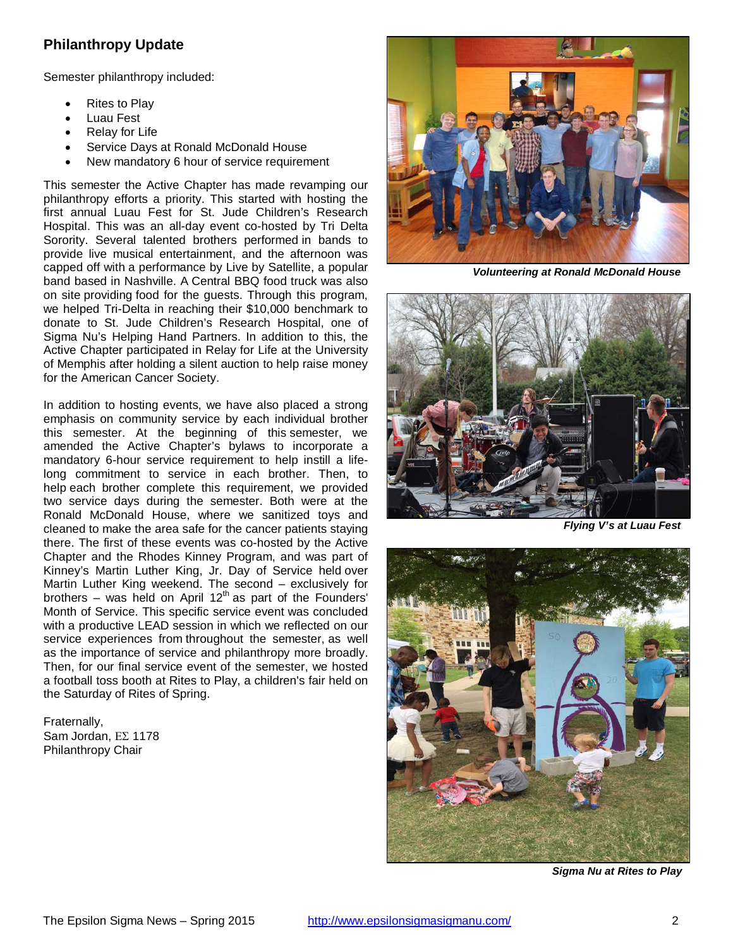# **Philanthropy Update**

Semester philanthropy included:

- Rites to Play
- Luau Fest
- Relay for Life
- Service Days at Ronald McDonald House
- New mandatory 6 hour of service requirement

This semester the Active Chapter has made revamping our philanthropy efforts a priority. This started with hosting the first annual Luau Fest for St. Jude Children's Research Hospital. This was an all-day event co-hosted by Tri Delta Sorority. Several talented brothers performed in bands to provide live musical entertainment, and the afternoon was capped off with a performance by Live by Satellite, a popular band based in Nashville. A Central BBQ food truck was also on site providing food for the guests. Through this program, we helped Tri-Delta in reaching their \$10,000 benchmark to donate to St. Jude Children's Research Hospital, one of Sigma Nu's Helping Hand Partners. In addition to this, the Active Chapter participated in Relay for Life at the University of Memphis after holding a silent auction to help raise money for the American Cancer Society.

In addition to hosting events, we have also placed a strong emphasis on community service by each individual brother this semester. At the beginning of this semester, we amended the Active Chapter's bylaws to incorporate a mandatory 6-hour service requirement to help instill a lifelong commitment to service in each brother. Then, to help each brother complete this requirement, we provided two service days during the semester. Both were at the Ronald McDonald House, where we sanitized toys and cleaned to make the area safe for the cancer patients staying there. The first of these events was co-hosted by the Active Chapter and the Rhodes Kinney Program, and was part of Kinney's Martin Luther King, Jr. Day of Service held over Martin Luther King weekend. The second – exclusively for brothers – was held on April  $12<sup>th</sup>$  as part of the Founders' Month of Service. This specific service event was concluded with a productive LEAD session in which we reflected on our service experiences from throughout the semester, as well as the importance of service and philanthropy more broadly. Then, for our final service event of the semester, we hosted a football toss booth at Rites to Play, a children's fair held on the Saturday of Rites of Spring.

Fraternally, Sam Jordan, ΕΣ 1178 Philanthropy Chair



*Volunteering at Ronald McDonald House*



*Flying V's at Luau Fest*



 *Sigma Nu at Rites to Play*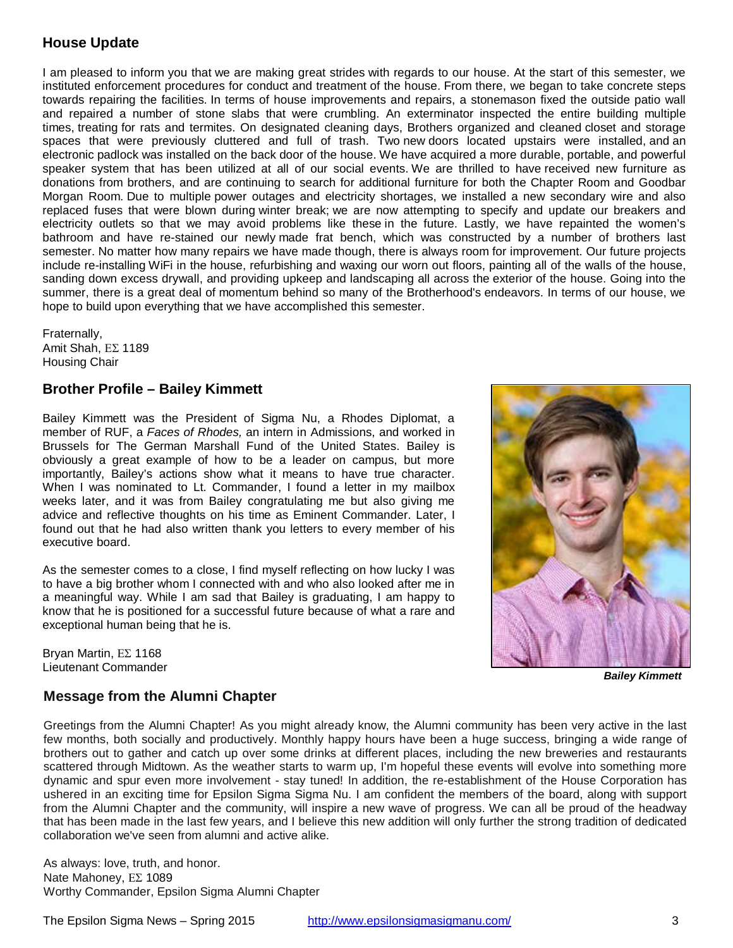## **House Update**

I am pleased to inform you that we are making great strides with regards to our house. At the start of this semester, we instituted enforcement procedures for conduct and treatment of the house. From there, we began to take concrete steps towards repairing the facilities. In terms of house improvements and repairs, a stonemason fixed the outside patio wall and repaired a number of stone slabs that were crumbling. An exterminator inspected the entire building multiple times, treating for rats and termites. On designated cleaning days, Brothers organized and cleaned closet and storage spaces that were previously cluttered and full of trash. Two new doors located upstairs were installed, and an electronic padlock was installed on the back door of the house. We have acquired a more durable, portable, and powerful speaker system that has been utilized at all of our social events. We are thrilled to have received new furniture as donations from brothers, and are continuing to search for additional furniture for both the Chapter Room and Goodbar Morgan Room. Due to multiple power outages and electricity shortages, we installed a new secondary wire and also replaced fuses that were blown during winter break; we are now attempting to specify and update our breakers and electricity outlets so that we may avoid problems like these in the future. Lastly, we have repainted the women's bathroom and have re-stained our newly made frat bench, which was constructed by a number of brothers last semester. No matter how many repairs we have made though, there is always room for improvement. Our future projects include re-installing WiFi in the house, refurbishing and waxing our worn out floors, painting all of the walls of the house, sanding down excess drywall, and providing upkeep and landscaping all across the exterior of the house. Going into the summer, there is a great deal of momentum behind so many of the Brotherhood's endeavors. In terms of our house, we hope to build upon everything that we have accomplished this semester.

Fraternally, Amit Shah, ΕΣ 1189 Housing Chair

#### **Brother Profile – Bailey Kimmett**

Bailey Kimmett was the President of Sigma Nu, a Rhodes Diplomat, a member of RUF, a *Faces of Rhodes,* an intern in Admissions, and worked in Brussels for The German Marshall Fund of the United States. Bailey is obviously a great example of how to be a leader on campus, but more importantly, Bailey's actions show what it means to have true character. When I was nominated to Lt. Commander, I found a letter in my mailbox weeks later, and it was from Bailey congratulating me but also giving me advice and reflective thoughts on his time as Eminent Commander. Later, I found out that he had also written thank you letters to every member of his executive board.

As the semester comes to a close, I find myself reflecting on how lucky I was to have a big brother whom I connected with and who also looked after me in a meaningful way. While I am sad that Bailey is graduating, I am happy to know that he is positioned for a successful future because of what a rare and exceptional human being that he is.

Bryan Martin, ΕΣ 1168 Lieutenant Commander

*Bailey Kimmett*

### **Message from the Alumni Chapter**

Greetings from the Alumni Chapter! As you might already know, the Alumni community has been very active in the last few months, both socially and productively. Monthly happy hours have been a huge success, bringing a wide range of brothers out to gather and catch up over some drinks at different places, including the new breweries and restaurants scattered through Midtown. As the weather starts to warm up, I'm hopeful these events will evolve into something more dynamic and spur even more involvement - stay tuned! In addition, the re-establishment of the House Corporation has ushered in an exciting time for Epsilon Sigma Sigma Nu. I am confident the members of the board, along with support from the Alumni Chapter and the community, will inspire a new wave of progress. We can all be proud of the headway that has been made in the last few years, and I believe this new addition will only further the strong tradition of dedicated collaboration we've seen from alumni and active alike.

As always: love, truth, and honor. Nate Mahoney, ΕΣ 1089 Worthy Commander, Epsilon Sigma Alumni Chapter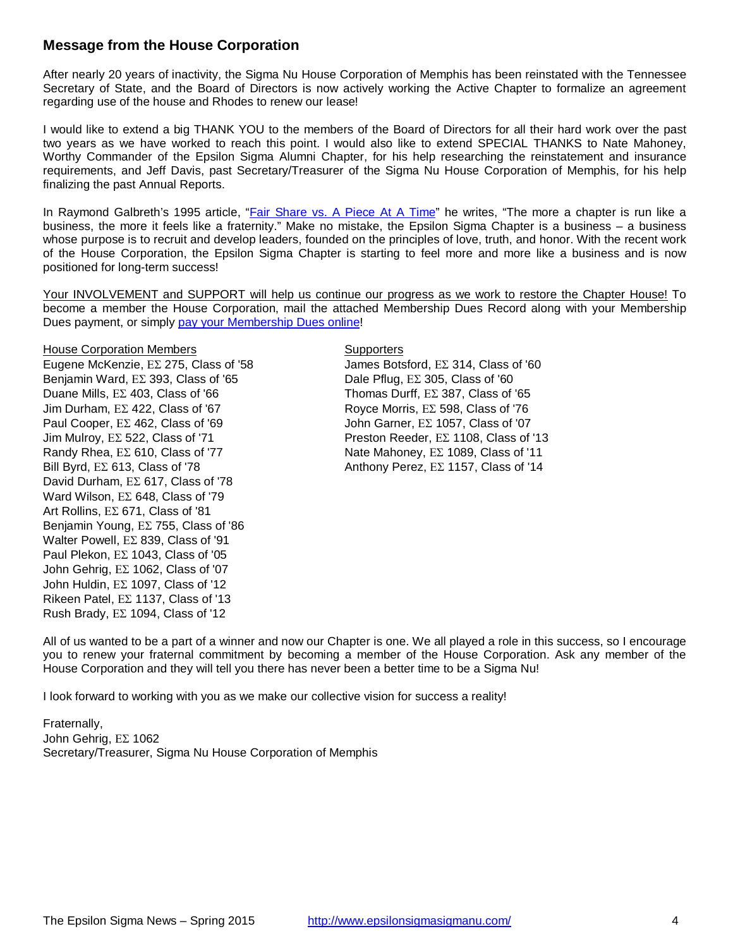#### **Message from the House Corporation**

After nearly 20 years of inactivity, the Sigma Nu House Corporation of Memphis has been reinstated with the Tennessee Secretary of State, and the Board of Directors is now actively working the Active Chapter to formalize an agreement regarding use of the house and Rhodes to renew our lease!

I would like to extend a big THANK YOU to the members of the Board of Directors for all their hard work over the past two years as we have worked to reach this point. I would also like to extend SPECIAL THANKS to Nate Mahoney, Worthy Commander of the Epsilon Sigma Alumni Chapter, for his help researching the reinstatement and insurance requirements, and Jeff Davis, past Secretary/Treasurer of the Sigma Nu House Corporation of Memphis, for his help finalizing the past Annual Reports.

In Raymond Galbreth's 1995 article, ["Fair Share vs. A Piece At](http://raymondgalbreth.blogspot.com/2013/07/fair-share-vs-piece-at-time.html) A Time" he writes, "The more a chapter is run like a business, the more it feels like a fraternity." Make no mistake, the Epsilon Sigma Chapter is a business – a business whose purpose is to recruit and develop leaders, founded on the principles of love, truth, and honor. With the recent work of the House Corporation, the Epsilon Sigma Chapter is starting to feel more and more like a business and is now positioned for long-term success!

Your INVOLVEMENT and SUPPORT will help us continue our progress as we work to restore the Chapter House! To become a member the House Corporation, mail the attached Membership Dues Record along with your Membership Dues payment, or simply [pay your Membership Dues online!](http://epsilonsigmasigmanu.com/housecorp)

#### House Corporation Members **Supporters** Supporters

Eugene McKenzie, ΕΣ 275, Class of '58 James Botsford, ΕΣ 314, Class of '60 Benjamin Ward,  $E\Sigma$  393, Class of '65 Dale Pflug,  $E\Sigma$  305, Class of '60 Duane Mills, ΕΣ 403, Class of '66 Thomas Durff, ΕΣ 387, Class of '65 Jim Durham,  $E\Sigma$  422, Class of '67 Royce Morris,  $E\Sigma$  598, Class of '76 Paul Cooper, ΕΣ 462, Class of '69 John Garner, ΕΣ 1057, Class of '07 Jim Mulroy, ΕΣ 522, Class of '71 Preston Reeder, ΕΣ 1108, Class of '13 Randy Rhea,  $E\Sigma$  610, Class of '77 Nate Mahoney,  $E\Sigma$  1089, Class of '11 Bill Byrd,  $E\Sigma$  613, Class of '78  $\blacksquare$  Anthony Perez,  $E\Sigma$  1157, Class of '14 David Durham, ΕΣ 617, Class of '78 Ward Wilson, ΕΣ 648, Class of '79 Art Rollins, ΕΣ 671, Class of '81 Benjamin Young, ΕΣ 755, Class of '86 Walter Powell, ΕΣ 839, Class of '91 Paul Plekon, ΕΣ 1043, Class of '05 John Gehrig, ΕΣ 1062, Class of '07 John Huldin, ΕΣ 1097, Class of '12 Rikeen Patel, ΕΣ 1137, Class of '13 Rush Brady, ΕΣ 1094, Class of '12

All of us wanted to be a part of a winner and now our Chapter is one. We all played a role in this success, so I encourage you to renew your fraternal commitment by becoming a member of the House Corporation. Ask any member of the House Corporation and they will tell you there has never been a better time to be a Sigma Nu!

I look forward to working with you as we make our collective vision for success a reality!

Fraternally, John Gehrig, ΕΣ 1062 Secretary/Treasurer, Sigma Nu House Corporation of Memphis